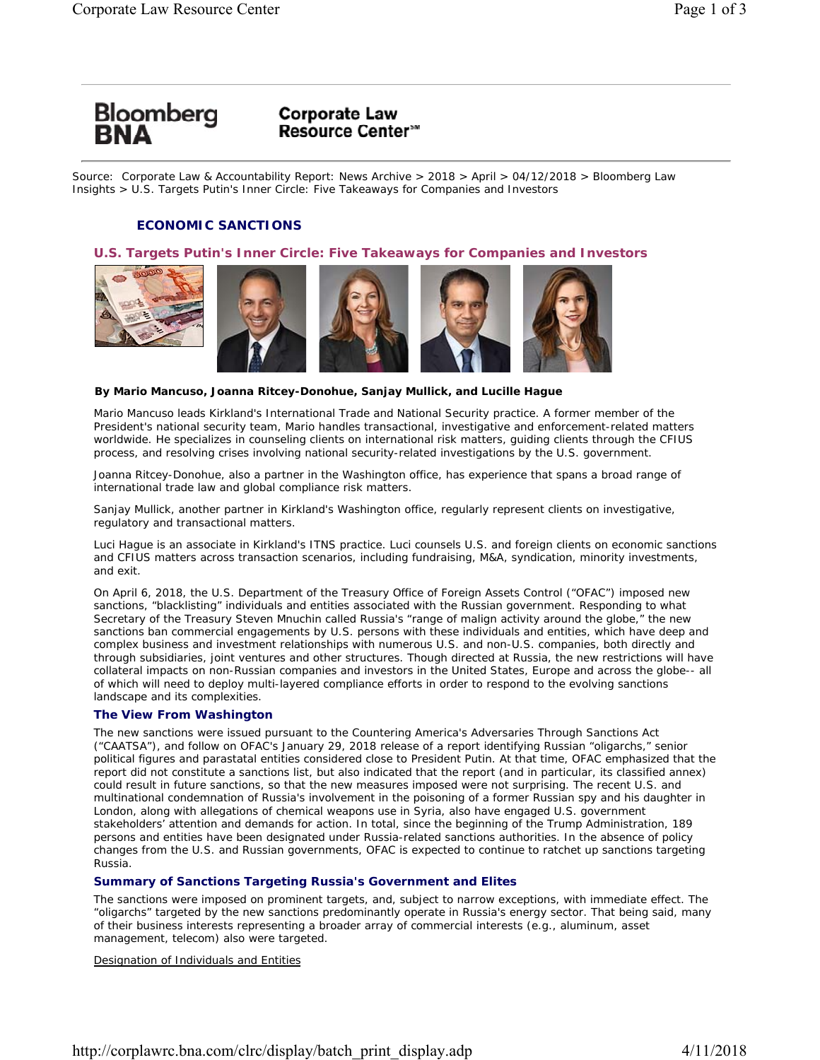

# **Corporate Law Resource Center**<sup>5™</sup>

Source: Corporate Law & Accountability Report: News Archive > 2018 > April > 04/12/2018 > Bloomberg Law Insights > U.S. Targets Putin's Inner Circle: Five Takeaways for Companies and Investors

# *ECONOMIC SANCTIONS*

## **U.S. Targets Putin's Inner Circle: Five Takeaways for Companies and Investors**







#### **By Mario Mancuso, Joanna Ritcey-Donohue, Sanjay Mullick, and Lucille Hague**

*Mario Mancuso leads Kirkland's International Trade and National Security practice. A former member of the President's national security team, Mario handles transactional, investigative and enforcement-related matters worldwide. He specializes in counseling clients on international risk matters, guiding clients through the CFIUS process, and resolving crises involving national security-related investigations by the U.S. government.*

*Joanna Ritcey-Donohue, also a partner in the Washington office, has experience that spans a broad range of international trade law and global compliance risk matters.*

*Sanjay Mullick, another partner in Kirkland's Washington office, regularly represent clients on investigative, regulatory and transactional matters.*

*Luci Hague is an associate in Kirkland's ITNS practice. Luci counsels U.S. and foreign clients on economic sanctions and CFIUS matters across transaction scenarios, including fundraising, M&A, syndication, minority investments, and exit.*

On April 6, 2018, the U.S. Department of the Treasury Office of Foreign Assets Control ("OFAC") imposed new sanctions, "blacklisting" individuals and entities associated with the Russian government. Responding to what Secretary of the Treasury Steven Mnuchin called Russia's "range of malign activity around the globe," the new sanctions ban commercial engagements by U.S. persons with these individuals and entities, which have deep and complex business and investment relationships with numerous U.S. and non-U.S. companies, both directly and through subsidiaries, joint ventures and other structures. Though directed at Russia, the new restrictions will have collateral impacts on non-Russian companies and investors in the United States, Europe and across the globe-- all of which will need to deploy multi-layered compliance efforts in order to respond to the evolving sanctions landscape and its complexities.

## **The View From Washington**

The new sanctions were issued pursuant to the Countering America's Adversaries Through Sanctions Act ("CAATSA"), and follow on OFAC's January 29, 2018 release of a report identifying Russian "oligarchs," senior political figures and parastatal entities considered close to President Putin. At that time, OFAC emphasized that the report did not constitute a sanctions list, but also indicated that the report (and in particular, its classified annex) could result in future sanctions, so that the new measures imposed were not surprising. The recent U.S. and multinational condemnation of Russia's involvement in the poisoning of a former Russian spy and his daughter in London, along with allegations of chemical weapons use in Syria, also have engaged U.S. government stakeholders' attention and demands for action. In total, since the beginning of the Trump Administration, 189 persons and entities have been designated under Russia-related sanctions authorities. In the absence of policy changes from the U.S. and Russian governments, OFAC is expected to continue to ratchet up sanctions targeting Russia.

## **Summary of Sanctions Targeting Russia's Government and Elites**

The sanctions were imposed on prominent targets, and, subject to narrow exceptions, with immediate effect. The "oligarchs" targeted by the new sanctions predominantly operate in Russia's energy sector. That being said, many of their business interests representing a broader array of commercial interests (e.g., aluminum, asset management, telecom) also were targeted.

Designation of Individuals and Entities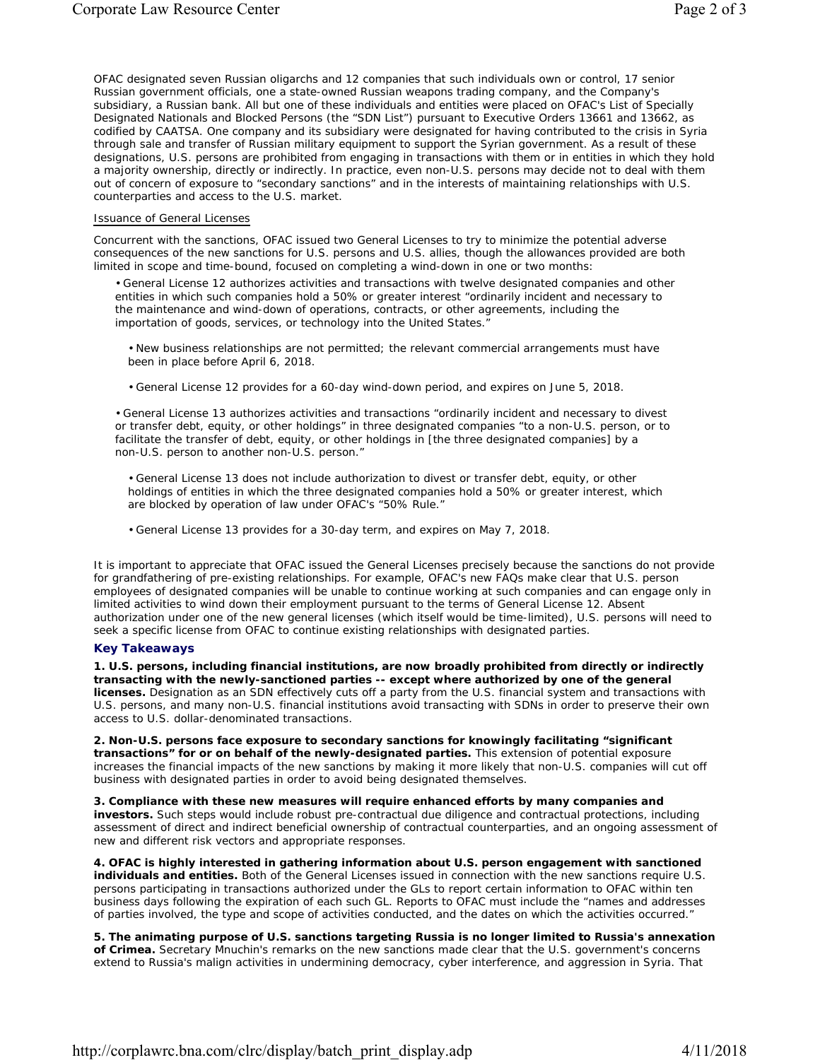OFAC designated seven Russian oligarchs and 12 companies that such individuals own or control, 17 senior Russian government officials, one a state-owned Russian weapons trading company, and the Company's subsidiary, a Russian bank. All but one of these individuals and entities were placed on OFAC's List of Specially Designated Nationals and Blocked Persons (the "SDN List") pursuant to Executive Orders 13661 and 13662, as codified by CAATSA. One company and its subsidiary were designated for having contributed to the crisis in Syria through sale and transfer of Russian military equipment to support the Syrian government. As a result of these designations, U.S. persons are prohibited from engaging in transactions with them or in entities in which they hold a majority ownership, directly or indirectly. In practice, even non-U.S. persons may decide not to deal with them out of concern of exposure to "secondary sanctions" and in the interests of maintaining relationships with U.S. counterparties and access to the U.S. market.

#### Issuance of General Licenses

Concurrent with the sanctions, OFAC issued two General Licenses to try to minimize the potential adverse consequences of the new sanctions for U.S. persons and U.S. allies, though the allowances provided are both limited in scope and time-bound, focused on completing a wind-down in one or two months:

• General License 12 authorizes activities and transactions with twelve designated companies and other entities in which such companies hold a 50% or greater interest "ordinarily incident and necessary to the maintenance and wind-down of operations, contracts, or other agreements, including the importation of goods, services, or technology into the United States."

• New business relationships are not permitted; the relevant commercial arrangements must have been in place before April 6, 2018.

• General License 12 provides for a 60-day wind-down period, and expires on June 5, 2018.

• General License 13 authorizes activities and transactions "ordinarily incident and necessary to divest or transfer debt, equity, or other holdings" in three designated companies "to a non-U.S. person, or to facilitate the transfer of debt, equity, or other holdings in [the three designated companies] by a non-U.S. person to another non-U.S. person."

• General License 13 does not include authorization to divest or transfer debt, equity, or other holdings of entities in which the three designated companies hold a 50% or greater interest, which are blocked by operation of law under OFAC's "50% Rule."

• General License 13 provides for a 30-day term, and expires on May 7, 2018.

It is important to appreciate that OFAC issued the General Licenses precisely because the sanctions do not provide for grandfathering of pre-existing relationships. For example, OFAC's new FAQs make clear that U.S. person employees of designated companies will be unable to continue working at such companies and can engage only in limited activities to wind down their employment pursuant to the terms of General License 12. Absent authorization under one of the new general licenses (which itself would be time-limited), U.S. persons will need to seek a specific license from OFAC to continue existing relationships with designated parties.

#### **Key Takeaways**

**1. U.S. persons, including financial institutions, are now broadly prohibited from directly or indirectly transacting with the newly-sanctioned parties -- except where authorized by one of the general licenses.** Designation as an SDN effectively cuts off a party from the U.S. financial system and transactions with U.S. persons, and many non-U.S. financial institutions avoid transacting with SDNs in order to preserve their own access to U.S. dollar-denominated transactions.

**2. Non-U.S. persons face exposure to secondary sanctions for knowingly facilitating "significant transactions" for or on behalf of the newly-designated parties.** This extension of potential exposure increases the financial impacts of the new sanctions by making it more likely that non-U.S. companies will cut off business with designated parties in order to avoid being designated themselves.

**3. Compliance with these new measures will require enhanced efforts by many companies and investors.** Such steps would include robust pre-contractual due diligence and contractual protections, including assessment of direct and indirect beneficial ownership of contractual counterparties, and an ongoing assessment of new and different risk vectors and appropriate responses.

**4. OFAC is highly interested in gathering information about U.S. person engagement with sanctioned individuals and entities.** Both of the General Licenses issued in connection with the new sanctions require U.S. persons participating in transactions authorized under the GLs to report certain information to OFAC within ten business days following the expiration of each such GL. Reports to OFAC must include the "names and addresses of parties involved, the type and scope of activities conducted, and the dates on which the activities occurred."

**5. The animating purpose of U.S. sanctions targeting Russia is no longer limited to Russia's annexation of Crimea.** Secretary Mnuchin's remarks on the new sanctions made clear that the U.S. government's concerns extend to Russia's malign activities in undermining democracy, cyber interference, and aggression in Syria. That